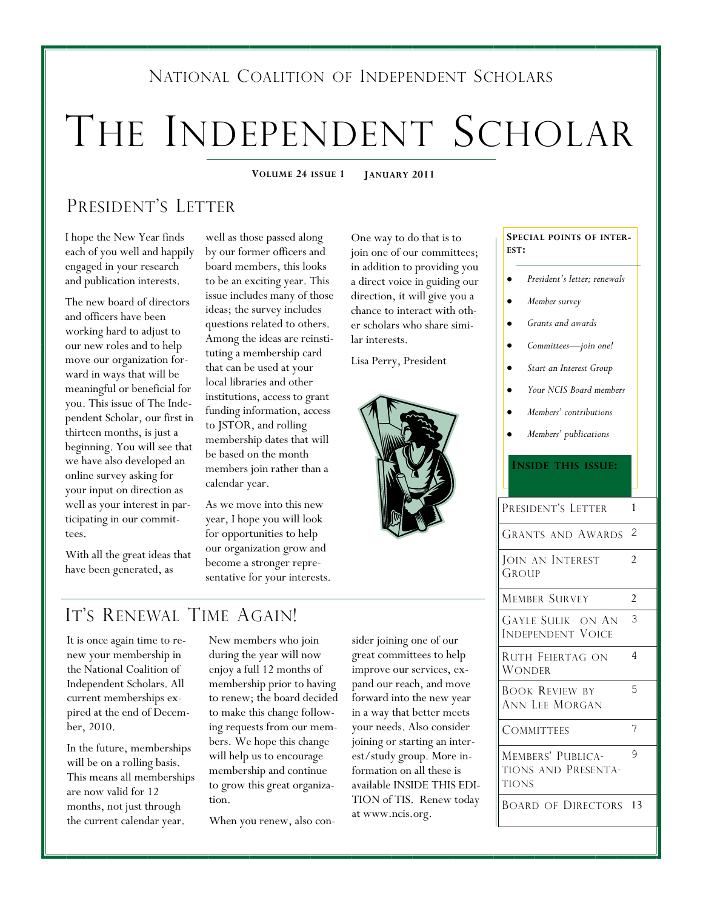### NATIONAL COALITION OF INDEPENDENT SCHOLARS

# THE INDEPENDENT SCHOLAR

**VOLUME 24 ISSUE 1 JANUARY 2011**

### PRESIDENT'S LETTER

I hope the New Year finds each of you well and happily engaged in your research and publication interests.

The new board of directors and officers have been working hard to adjust to our new roles and to help move our organization forward in ways that will be meaningful or beneficial for you. This issue of The Independent Scholar, our first in thirteen months, is just a beginning. You will see that we have also developed an online survey asking for your input on direction as well as your interest in participating in our committees.

With all the great ideas that have been generated, as

well as those passed along by our former officers and board members, this looks to be an exciting year. This issue includes many of those ideas; the survey includes questions related to others. Among the ideas are reinstituting a membership card that can be used at your local libraries and other institutions, access to grant funding information, access to JSTOR, and rolling membership dates that will be based on the month members join rather than a calendar year.

As we move into this new year, I hope you will look for opportunities to help our organization grow and become a stronger representative for your interests.

IT'S RENEWAL TIME AGAIN!

It is once again time to renew your membership in the National Coalition of Independent Scholars. All current memberships expired at the end of December, 2010.

In the future, memberships will be on a rolling basis. This means all memberships are now valid for 12 months, not just through the current calendar year.

New members who join during the year will now enjoy a full 12 months of membership prior to having to renew; the board decided to make this change following requests from our members. We hope this change will help us to encourage membership and continue to grow this great organization.

When you renew, also con-

sider joining one of our great committees to help improve our services, expand our reach, and move forward into the new year in a way that better meets your needs. Also consider joining or starting an interest/study group. More information on all these is available INSIDE THIS EDI-TION of TIS. Renew today at www.ncis.org.

**SPECIAL POINTS OF INTER-EST:**

- *President's letter; renewals*
- *Member survey*
- *Grants and awards*
- *Committees—join one!*
- *Start an Interest Group*
- $\bullet$ *Your NCIS Board members*
- *Members' contributions*
- *Members' publications*

#### **INSIDE THIS ISSUE:**

| PRESIDENT'S LETTER<br>1<br><b>GRANTS AND AWARDS 2</b><br>JOIN AN INTEREST<br>$\overline{2}$<br>GROUP<br><b>MEMBER SURVEY</b><br>2<br>3<br><b>GAYLE SULIK ON AN</b><br>Independent Voice<br>4<br>RUTH FEIERTAG ON<br>Wonder<br>5<br><b>BOOK REVIEW BY</b><br>ANN LEE MORGAN<br>7<br><b>COMMITTEES</b><br>9<br>MEMBERS' PUBLICA-<br>TIONS AND PRESENTA-<br><b>TIONS</b><br><b>BOARD OF DIRECTORS 13</b> |  |
|-------------------------------------------------------------------------------------------------------------------------------------------------------------------------------------------------------------------------------------------------------------------------------------------------------------------------------------------------------------------------------------------------------|--|
|                                                                                                                                                                                                                                                                                                                                                                                                       |  |
|                                                                                                                                                                                                                                                                                                                                                                                                       |  |
|                                                                                                                                                                                                                                                                                                                                                                                                       |  |
|                                                                                                                                                                                                                                                                                                                                                                                                       |  |
|                                                                                                                                                                                                                                                                                                                                                                                                       |  |
|                                                                                                                                                                                                                                                                                                                                                                                                       |  |
|                                                                                                                                                                                                                                                                                                                                                                                                       |  |
|                                                                                                                                                                                                                                                                                                                                                                                                       |  |
|                                                                                                                                                                                                                                                                                                                                                                                                       |  |
|                                                                                                                                                                                                                                                                                                                                                                                                       |  |



One way to do that is to join one of our committees; in addition to providing you a direct voice in guiding our direction, it will give you a chance to interact with other scholars who share simi-

lar interests.

Lisa Perry, President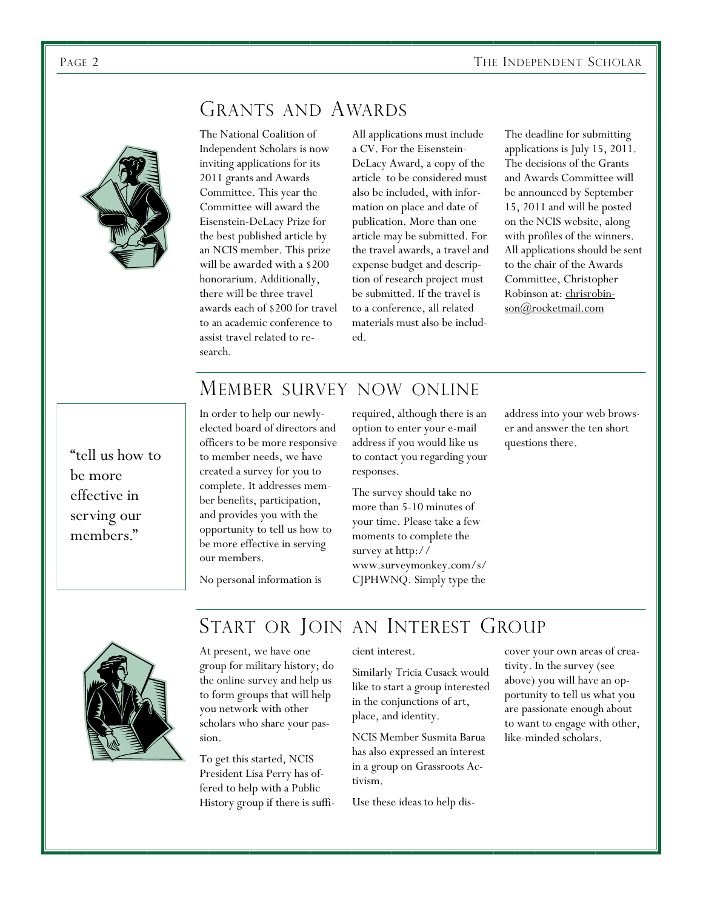

### GRANTS AND AWARDS

The National Coalition of Independent Scholars is now inviting applications for its 2011 grants and Awards Committee. This year the Committee will award the Eisenstein-DeLacy Prize for the best published article by an NCIS member. This prize will be awarded with a \$200 honorarium. Additionally, there will be three travel awards each of \$200 for travel to an academic conference to assist travel related to research.

All applications must include a CV. For the Eisenstein-DeLacy Award, a copy of the article to be considered must also be included, with information on place and date of publication. More than one article may be submitted. For the travel awards, a travel and expense budget and description of research project must be submitted. If the travel is to a conference, all related materials must also be included.

The deadline for submitting applications is July 15, 2011. The decisions of the Grants and Awards Committee will be announced by September 15, 2011 and will be posted on the NCIS website, along with profiles of the winners. All applications should be sent to the chair of the Awards Committee, Christopher Robinson at: [chrisrobin](mailto:chrisrobinson@rocketmail.com)[son@rocketmail.com](mailto:chrisrobinson@rocketmail.com)

### MEMBER SURVEY NOW ONLINE

"tell us how to be more effective in serving our members."

In order to help our newlyelected board of directors and officers to be more responsive to member needs, we have created a survey for you to complete. It addresses member benefits, participation, and provides you with the opportunity to tell us how to be more effective in serving our members.

required, although there is an option to enter your e-mail address if you would like us to contact you regarding your responses.

The survey should take no more than 5-10 minutes of your time. Please take a few moments to complete the survey at http:// www.surveymonkey.com/s/ CJPHWNQ. Simply type the

address into your web browser and answer the ten short questions there.

No personal information is

### START OR JOIN AN INTEREST GROUP



At present, we have one group for military history; do the online survey and help us to form groups that will help you network with other scholars who share your passion.

To get this started, NCIS President Lisa Perry has offered to help with a Public History group if there is sufficient interest.

Similarly Tricia Cusack would like to start a group interested in the conjunctions of art, place, and identity.

NCIS Member Susmita Barua has also expressed an interest in a group on Grassroots Activism.

Use these ideas to help dis-

cover your own areas of creativity. In the survey (see above) you will have an opportunity to tell us what you are passionate enough about to want to engage with other, like-minded scholars.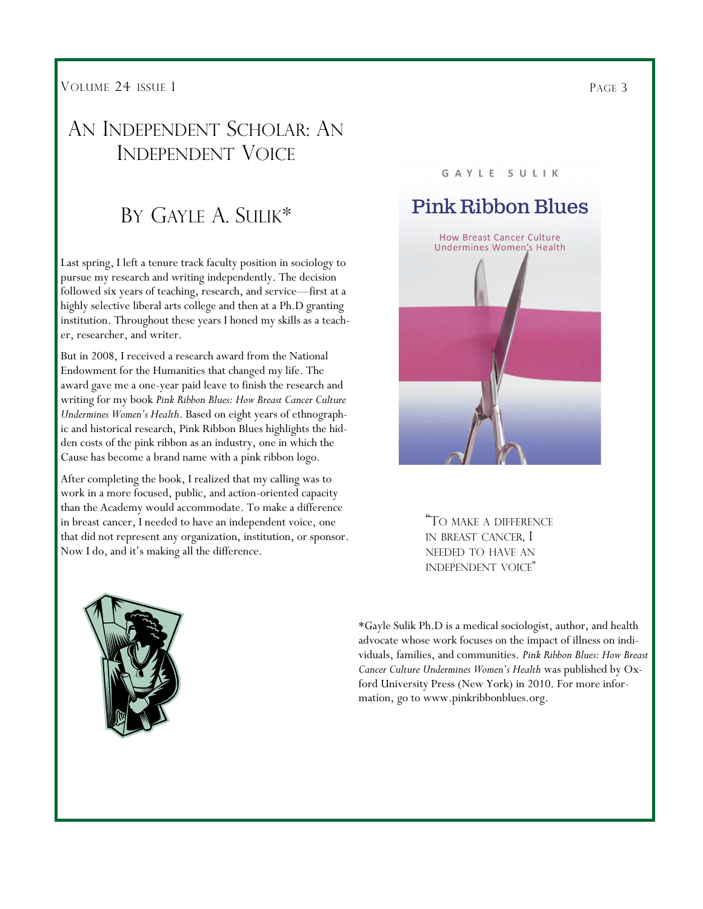VOLUME 24 ISSUE 1

### AN INDEPENDENT SCHOLAR: AN INDEPENDENT VOICE

### BY GAYLE A. SULIK\*

Last spring, I left a tenure track faculty position in sociology to pursue my research and writing independently. The decision followed six years of teaching, research, and service—first at a highly selective liberal arts college and then at a Ph.D granting institution. Throughout these years I honed my skills as a teacher, researcher, and writer.

But in 2008, I received a research award from the National Endowment for the Humanities that changed my life. The award gave me a one-year paid leave to finish the research and writing for my book *Pink Ribbon Blues: How Breast Cancer Culture Undermines Women's Health*. Based on eight years of ethnographic and historical research, Pink Ribbon Blues highlights the hidden costs of the pink ribbon as an industry, one in which the Cause has become a brand name with a pink ribbon logo.

After completing the book, I realized that my calling was to work in a more focused, public, and action-oriented capacity than the Academy would accommodate. To make a difference in breast cancer, I needed to have an independent voice, one that did not represent any organization, institution, or sponsor. Now I do, and it's making all the difference.

#### GAYLE SULIK

### **Pink Ribbon Blues**



"T<sup>O</sup> MAKE <sup>A</sup> DIFFERENCE IN BREAST CANCER, I NEEDED TO HAVE AN INDEPENDENT VOICE"

\*Gayle Sulik Ph.D is a medical sociologist, author, and health advocate whose work focuses on the impact of illness on individuals, families, and communities. *Pink Ribbon Blues: How Breast Cancer Culture Undermines Women's Health* was published by Oxford University Press (New York) in 2010. For more information, go to www.pinkribbonblues.org.

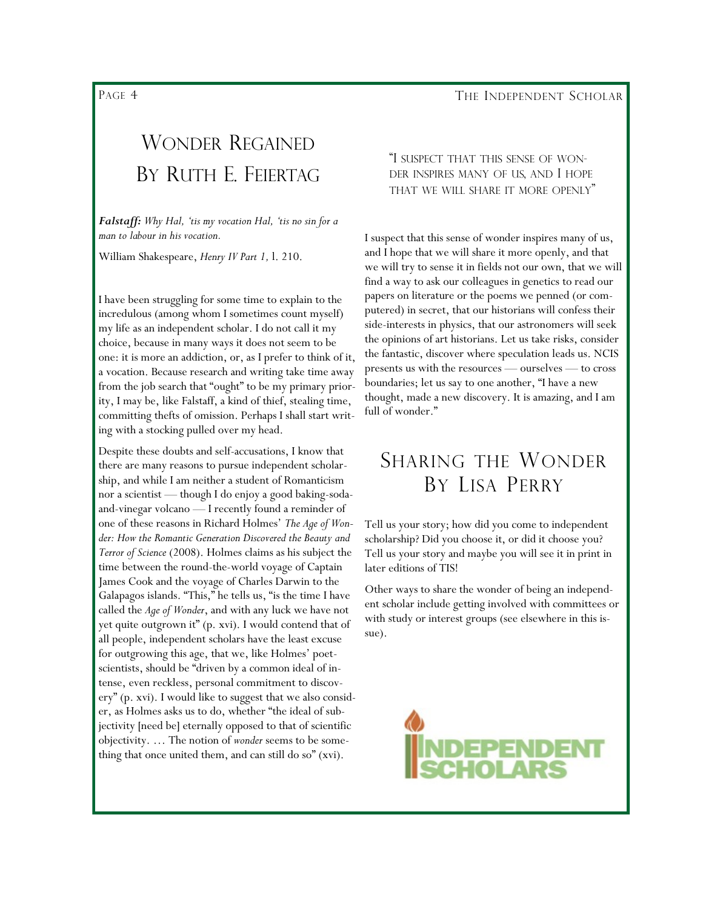PAGE 4

### WONDER REGAINED BY RUTH E. FEIERTAG

*Falstaff: Why Hal, 'tis my vocation Hal, 'tis no sin for a man to labour in his vocation.*

William Shakespeare, *Henry IV Part 1,* l. 210.

I have been struggling for some time to explain to the incredulous (among whom I sometimes count myself) my life as an independent scholar. I do not call it my choice, because in many ways it does not seem to be one: it is more an addiction, or, as I prefer to think of it, a vocation. Because research and writing take time away from the job search that "ought" to be my primary priority, I may be, like Falstaff, a kind of thief, stealing time, committing thefts of omission. Perhaps I shall start writing with a stocking pulled over my head.

Despite these doubts and self-accusations, I know that there are many reasons to pursue independent scholarship, and while I am neither a student of Romanticism nor a scientist — though I do enjoy a good baking-sodaand-vinegar volcano — I recently found a reminder of one of these reasons in Richard Holmes' *The Age of Wonder: How the Romantic Generation Discovered the Beauty and Terror of Science* (2008). Holmes claims as his subject the time between the round-the-world voyage of Captain James Cook and the voyage of Charles Darwin to the Galapagos islands. "This," he tells us, "is the time I have called the *Age of Wonder*, and with any luck we have not yet quite outgrown it" (p. xvi). I would contend that of all people, independent scholars have the least excuse for outgrowing this age, that we, like Holmes' poetscientists, should be "driven by a common ideal of intense, even reckless, personal commitment to discovery" (p. xvi). I would like to suggest that we also consider, as Holmes asks us to do, whether "the ideal of subjectivity [need be] eternally opposed to that of scientific objectivity. … The notion of *wonder* seems to be something that once united them, and can still do so"  $(xvi)$ .

#### "I SUSPECT THAT THIS SENSE OF WON-DER INSPIRES MANY OF US, AND I HOPE THAT WE WILL SHARE IT MORE OPENLY"

I suspect that this sense of wonder inspires many of us, and I hope that we will share it more openly, and that we will try to sense it in fields not our own, that we will find a way to ask our colleagues in genetics to read our papers on literature or the poems we penned (or computered) in secret, that our historians will confess their side-interests in physics, that our astronomers will seek the opinions of art historians. Let us take risks, consider the fantastic, discover where speculation leads us. NCIS presents us with the resources — ourselves — to cross boundaries; let us say to one another, "I have a new thought, made a new discovery. It is amazing, and I am full of wonder."

### SHARING THE WONDER BY LISA PERRY

Tell us your story; how did you come to independent scholarship? Did you choose it, or did it choose you? Tell us your story and maybe you will see it in print in later editions of TIS!

Other ways to share the wonder of being an independent scholar include getting involved with committees or with study or interest groups (see elsewhere in this issue).

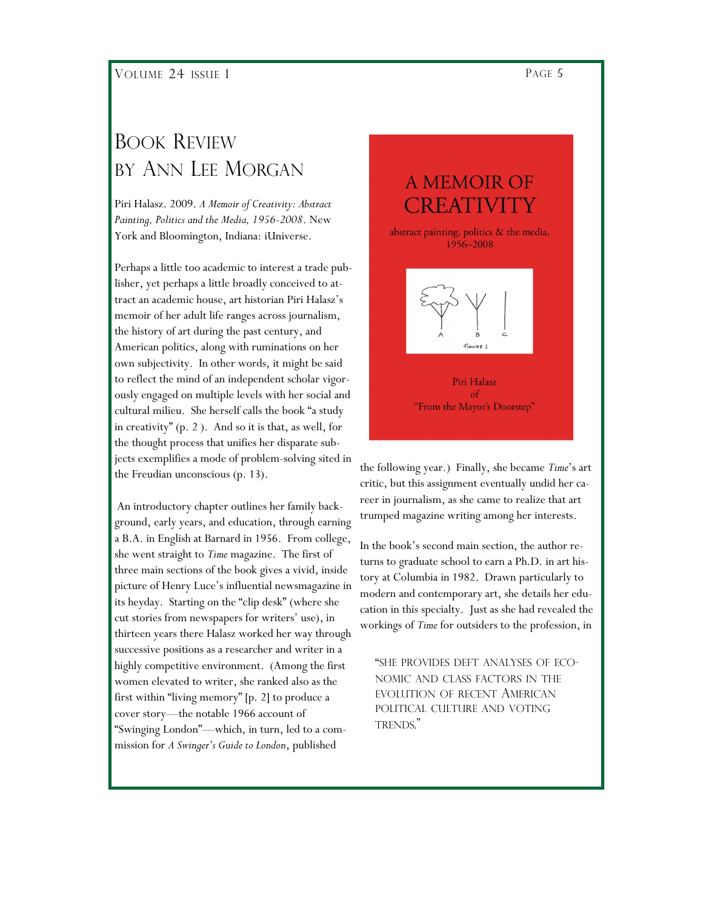### BOOK REVIEW BY ANN LEE MORGAN

Piri Halasz. 2009. *A Memoir of Creativity: Abstract Painting, Politics and the Media, 1956-2008*. New York and Bloomington, Indiana: iUniverse.

Perhaps a little too academic to interest a trade publisher, yet perhaps a little broadly conceived to attract an academic house, art historian Piri Halasz's memoir of her adult life ranges across journalism, the history of art during the past century, and American politics, along with ruminations on her own subjectivity. In other words, it might be said to reflect the mind of an independent scholar vigorously engaged on multiple levels with her social and cultural milieu. She herself calls the book "a study in creativity"  $(p, 2)$ . And so it is that, as well, for the thought process that unifies her disparate subjects exemplifies a mode of problem-solving sited in the Freudian unconscious (p. 13).

An introductory chapter outlines her family background, early years, and education, through earning a B.A. in English at Barnard in 1956. From college, she went straight to *Time* magazine. The first of three main sections of the book gives a vivid, inside picture of Henry Luce's influential newsmagazine in its heyday. Starting on the "clip desk" (where she cut stories from newspapers for writers' use), in thirteen years there Halasz worked her way through successive positions as a researcher and writer in a highly competitive environment. (Among the first women elevated to writer, she ranked also as the first within "living memory" [p. 2] to produce a cover story—the notable 1966 account of ―Swinging London‖—which, in turn, led to a commission for *A Swinger's Guide to London*, published

FIGURE 1

Piri Halasz  $\sigma$ "From the Mayor's Doorstep"

the following year.) Finally, she became *Time*'s art critic, but this assignment eventually undid her career in journalism, as she came to realize that art trumped magazine writing among her interests.

In the book's second main section, the author returns to graduate school to earn a Ph.D. in art history at Columbia in 1982. Drawn particularly to modern and contemporary art, she details her education in this specialty. Just as she had revealed the workings of *Time* for outsiders to the profession, in

―SHE PROVIDES DEFT ANALYSES OF ECO-NOMIC AND CLASS FACTORS IN THE EVOLUTION OF RECENT AMERICAN POLITICAL CULTURE AND VOTING TRENDS."

### A MEMOIR OF EREATIVIT

abstract painting, politics & the media, 1956-2008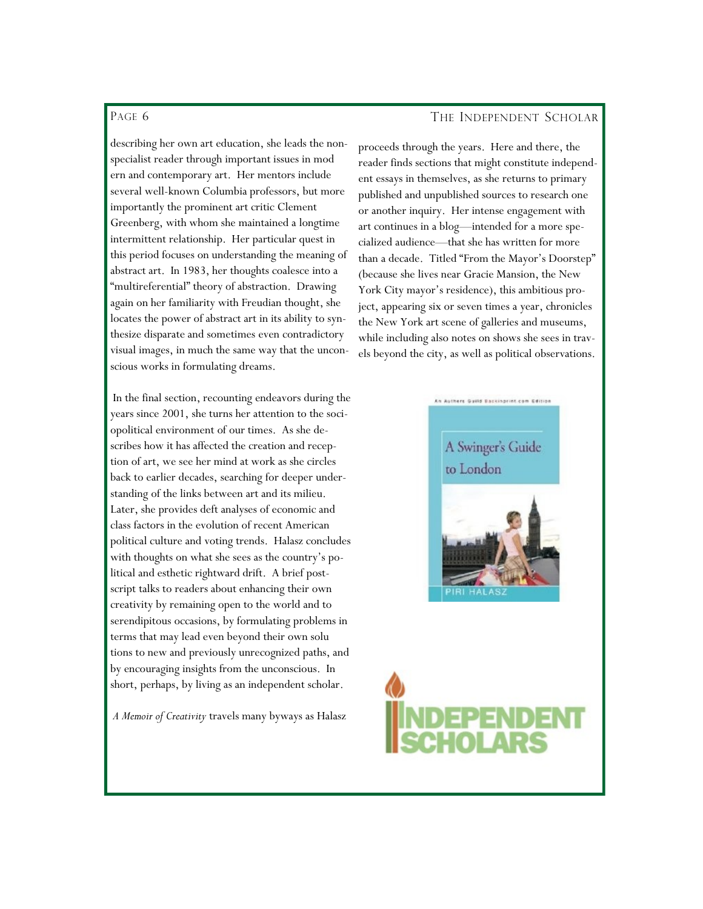#### PAGE 6

describing her own art education, she leads the nonspecialist reader through important issues in mod ern and contemporary art. Her mentors include several well-known Columbia professors, but more importantly the prominent art critic Clement Greenberg, with whom she maintained a longtime intermittent relationship. Her particular quest in this period focuses on understanding the meaning of abstract art. In 1983, her thoughts coalesce into a "multireferential" theory of abstraction. Drawing again on her familiarity with Freudian thought, she locates the power of abstract art in its ability to synthesize disparate and sometimes even contradictory visual images, in much the same way that the unconscious works in formulating dreams.

In the final section, recounting endeavors during the years since 2001, she turns her attention to the sociopolitical environment of our times. As she describes how it has affected the creation and reception of art, we see her mind at work as she circles back to earlier decades, searching for deeper understanding of the links between art and its milieu. Later, she provides deft analyses of economic and class factors in the evolution of recent American political culture and voting trends. Halasz concludes with thoughts on what she sees as the country's political and esthetic rightward drift. A brief postscript talks to readers about enhancing their own creativity by remaining open to the world and to serendipitous occasions, by formulating problems in terms that may lead even beyond their own solu tions to new and previously unrecognized paths, and by encouraging insights from the unconscious. In short, perhaps, by living as an independent scholar.

*A Memoir of Creativity* travels many byways as Halasz

#### THE INDEPENDENT SCHOLAR

proceeds through the years. Here and there, the reader finds sections that might constitute independent essays in themselves, as she returns to primary published and unpublished sources to research one or another inquiry. Her intense engagement with art continues in a blog—intended for a more specialized audience—that she has written for more than a decade. Titled "From the Mayor's Doorstep" (because she lives near Gracie Mansion, the New York City mayor's residence), this ambitious project, appearing six or seven times a year, chronicles the New York art scene of galleries and museums, while including also notes on shows she sees in travels beyond the city, as well as political observations.

## A Swinger's Guide to London

An Authors Guild Backingrint.com Editi

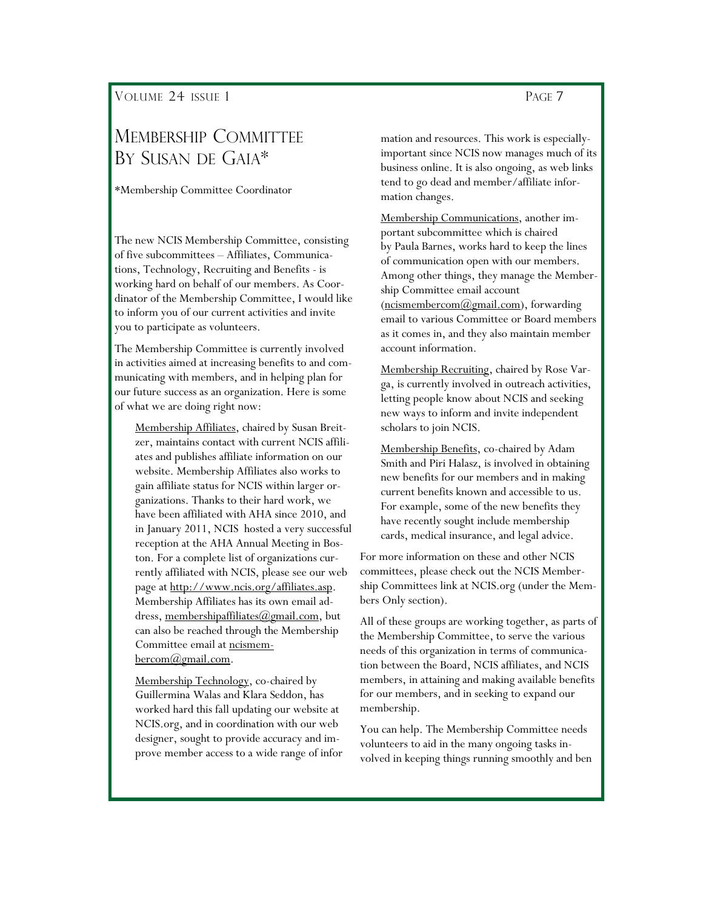### MEMBERSHIP COMMITTEE BY SUSAN DE GAIA\*

\*Membership Committee Coordinator

The new NCIS Membership Committee, consisting of five subcommittees – Affiliates, Communications, Technology, Recruiting and Benefits - is working hard on behalf of our members. As Coordinator of the Membership Committee, I would like to inform you of our current activities and invite you to participate as volunteers.

The Membership Committee is currently involved in activities aimed at increasing benefits to and communicating with members, and in helping plan for our future success as an organization. Here is some of what we are doing right now:

Membership Affiliates, chaired by Susan Breitzer, maintains contact with current NCIS affiliates and publishes affiliate information on our website. Membership Affiliates also works to gain affiliate status for NCIS within larger organizations. Thanks to their hard work, we have been affiliated with AHA since 2010, and in January 2011, NCIS hosted a very successful reception at the AHA Annual Meeting in Boston. For a complete list of organizations currently affiliated with NCIS, please see our web page at http://www.ncis.org/affiliates.asp. Membership Affiliates has its own email address, [membershipaffiliates@gmail.com,](mailto:membershipaffiliates@gmail.com) but can also be reached through the Membership Committee email at [ncismem](mailto:ncismembercom@gmail.com)bercom@gmail.com.

Membership Technology, co-chaired by Guillermina Walas and Klara Seddon, has worked hard this fall updating our website at NCIS.org, and in coordination with our web designer, sought to provide accuracy and improve member access to a wide range of infor

mation and resources. This work is especiallyimportant since NCIS now manages much of its business online. It is also ongoing, as web links tend to go dead and member/affiliate information changes.

Membership Communications, another important subcommittee which is chaired by Paula Barnes, works hard to keep the lines of communication open with our members. Among other things, they manage the Membership Committee email account  $(ncismembercom@gmail.com)$ , forwarding email to various Committee or Board members as it comes in, and they also maintain member account information.

Membership Recruiting, chaired by Rose Varga, is currently involved in outreach activities, letting people know about NCIS and seeking new ways to inform and invite independent scholars to join NCIS.

Membership Benefits, co-chaired by Adam Smith and Piri Halasz, is involved in obtaining new benefits for our members and in making current benefits known and accessible to us. For example, some of the new benefits they have recently sought include membership cards, medical insurance, and legal advice.

For more information on these and other NCIS committees, please check out the NCIS Membership Committees link at NCIS.org (under the Members Only section).

All of these groups are working together, as parts of the Membership Committee, to serve the various needs of this organization in terms of communication between the Board, NCIS affiliates, and NCIS members, in attaining and making available benefits for our members, and in seeking to expand our membership.

You can help. The Membership Committee needs volunteers to aid in the many ongoing tasks involved in keeping things running smoothly and ben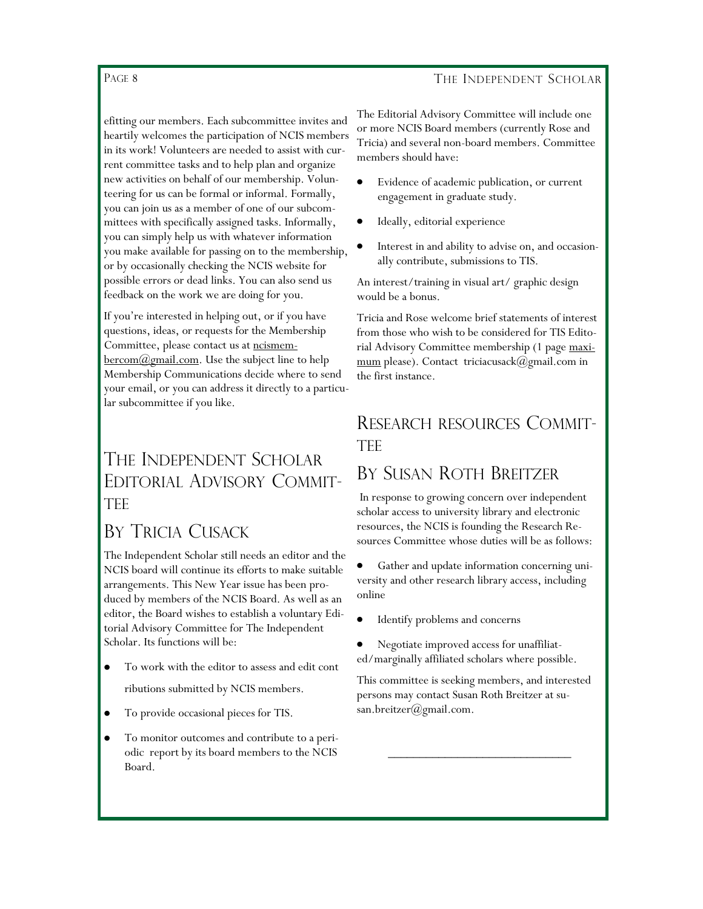#### THE INDEPENDENT SCHOLAR

#### PAGE 8

efitting our members. Each subcommittee invites and heartily welcomes the participation of NCIS members in its work! Volunteers are needed to assist with current committee tasks and to help plan and organize new activities on behalf of our membership. Volunteering for us can be formal or informal. Formally, you can join us as a member of one of our subcommittees with specifically assigned tasks. Informally, you can simply help us with whatever information you make available for passing on to the membership, or by occasionally checking the NCIS website for possible errors or dead links. You can also send us feedback on the work we are doing for you.

If you're interested in helping out, or if you have questions, ideas, or requests for the Membership Committee, please contact us at [ncismem-](mailto:ncismembercom@gmail.com) $\frac{\text{bercom}(\partial \text{gmail.com})}{\text{bercom}(\partial \text{gmail.com})}$ . Use the subject line to help Membership Communications decide where to send your email, or you can address it directly to a particular subcommittee if you like.

### THE INDEPENDENT SCHOLAR EDITORIAL ADVISORY COMMIT-TEE

### BY TRICIA CUSACK

The Independent Scholar still needs an editor and the NCIS board will continue its efforts to make suitable arrangements. This New Year issue has been produced by members of the NCIS Board. As well as an editor, the Board wishes to establish a voluntary Editorial Advisory Committee for The Independent Scholar. Its functions will be:

- To work with the editor to assess and edit cont ributions submitted by NCIS members.
- To provide occasional pieces for TIS.
- To monitor outcomes and contribute to a periodic report by its board members to the NCIS Board.

The Editorial Advisory Committee will include one or more NCIS Board members (currently Rose and Tricia) and several non-board members. Committee members should have:

- Evidence of academic publication, or current engagement in graduate study.
- Ideally, editorial experience
- Interest in and ability to advise on, and occasionally contribute, submissions to TIS.

An interest/training in visual art/ graphic design would be a bonus.

Tricia and Rose welcome brief statements of interest from those who wish to be considered for TIS Editorial Advisory Committee membership (1 page maximum please). Contact triciacusack@gmail.com in the first instance.

### RESEARCH RESOURCES COMMIT-**TFF**

### BY SUSAN ROTH BREITZER

In response to growing concern over independent scholar access to university library and electronic resources, the NCIS is founding the Research Resources Committee whose duties will be as follows:

 $\bullet$ Gather and update information concerning university and other research library access, including online

- Identify problems and concerns
- Negotiate improved access for unaffiliated/marginally affiliated scholars where possible.

This committee is seeking members, and interested persons may contact Susan Roth Breitzer at susan.breitzer@gmail.com.

\_\_\_\_\_\_\_\_\_\_\_\_\_\_\_\_\_\_\_\_\_\_\_\_\_\_\_\_\_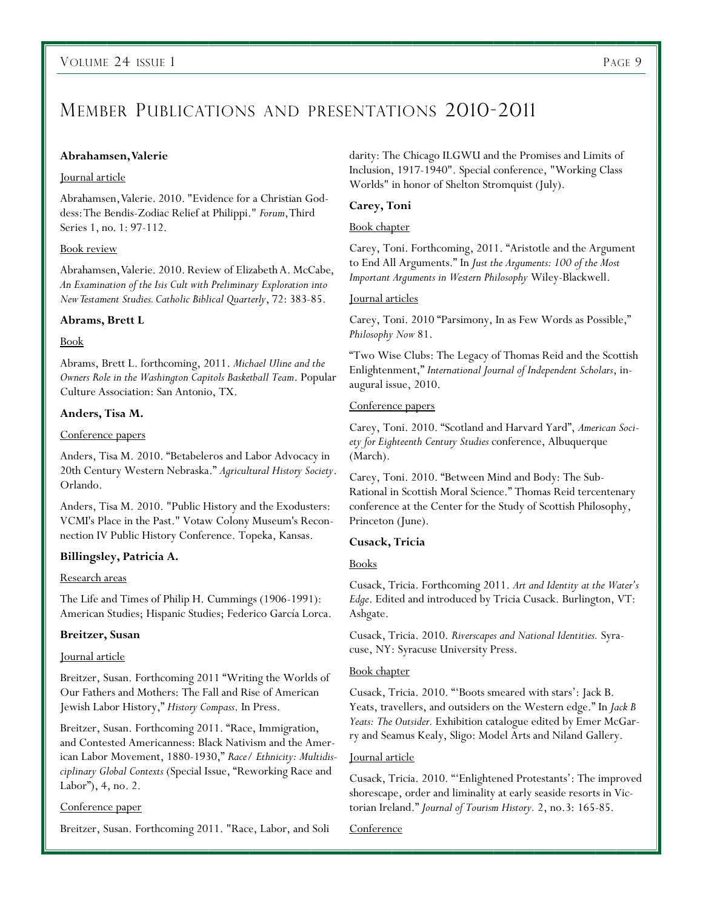### MEMBER PUBLICATIONS AND PRESENTATIONS 2010-2011

#### **Abrahamsen, Valerie**

#### Journal article

Abrahamsen, Valerie. 2010. "Evidence for a Christian Goddess: The Bendis-Zodiac Relief at Philippi." *Forum*, Third Series 1, no. 1: 97-112.

#### Book review

Abrahamsen, Valerie. 2010. Review of Elizabeth A. McCabe, *An Examination of the Isis Cult with Preliminary Exploration into New Testament Studies. Catholic Biblical Quarterly*, 72: 383-85.

#### **Abrams, Brett L**

#### Book

Abrams, Brett L. forthcoming, 2011. *Michael Uline and the Owners Role in the Washington Capitols Basketball Team*. Popular Culture Association: San Antonio, TX.

#### **Anders, Tisa M.**

#### Conference papers

Anders, Tisa M. 2010. "Betabeleros and Labor Advocacy in 20th Century Western Nebraska.‖ *Agricultural History Society*. Orlando.

Anders, Tisa M. 2010. "Public History and the Exodusters: VCMI's Place in the Past." Votaw Colony Museum's Reconnection IV Public History Conference. Topeka, Kansas.

#### **Billingsley, Patricia A.**

#### Research areas

The Life and Times of Philip H. Cummings (1906-1991): American Studies; Hispanic Studies; Federico García Lorca.

#### **Breitzer, Susan**

#### Journal article

Breitzer, Susan. Forthcoming 2011 "Writing the Worlds of Our Fathers and Mothers: The Fall and Rise of American Jewish Labor History," *History Compass*. In Press.

Breitzer, Susan. Forthcoming 2011. "Race, Immigration, and Contested Americanness: Black Nativism and the American Labor Movement, 1880-1930," Race/ Ethnicity: Multidisciplinary Global Contexts (Special Issue, "Reworking Race and Labor"), 4, no. 2.

#### Conference paper

Breitzer, Susan. Forthcoming 2011. "Race, Labor, and Soli

darity: The Chicago ILGWU and the Promises and Limits of Inclusion, 1917-1940". Special conference, "Working Class Worlds" in honor of Shelton Stromquist (July).

#### **Carey, Toni**

#### Book chapter

Carey, Toni. Forthcoming, 2011. "Aristotle and the Argument to End All Arguments.‖ In *Just the Arguments: 100 of the Most Important Arguments in Western Philosophy* Wiley-Blackwell.

#### Journal articles

Carey, Toni. 2010 "Parsimony, In as Few Words as Possible," *Philosophy Now* 81.

―Two Wise Clubs: The Legacy of Thomas Reid and the Scottish Enlightenment,‖ *International Journal of Independent Scholars*, inaugural issue, 2010.

#### Conference papers

Carey, Toni. 2010. "Scotland and Harvard Yard", American Soci*ety for Eighteenth Century Studies* conference, Albuquerque (March).

Carey, Toni. 2010. "Between Mind and Body: The Sub-Rational in Scottish Moral Science." Thomas Reid tercentenary conference at the Center for the Study of Scottish Philosophy, Princeton (June).

#### **Cusack, Tricia**

#### Books

Cusack, Tricia. Forthcoming 2011. *Art and Identity at the Water's Edge*. Edited and introduced by Tricia Cusack. Burlington, VT: Ashgate.

Cusack, Tricia. 2010. *Riverscapes and National Identities.* Syracuse, NY: Syracuse University Press.

#### **Book chapter**

Cusack, Tricia. 2010. "Boots smeared with stars': Jack B. Yeats, travellers, and outsiders on the Western edge." In *Jack B Yeats: The Outsider.* Exhibition catalogue edited by Emer McGarry and Seamus Kealy, Sligo: Model Arts and Niland Gallery.

#### Journal article

Cusack, Tricia. 2010. "'Enlightened Protestants': The improved shorescape, order and liminality at early seaside resorts in Victorian Ireland.‖ *Journal of Tourism History.* 2, no.3: 165-85.

Conference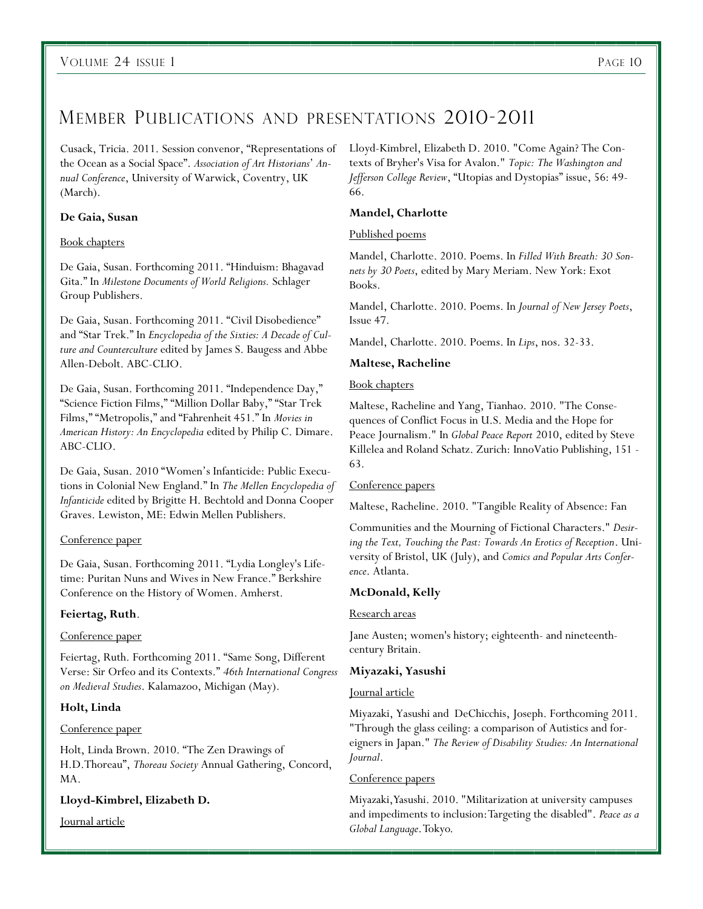### MEMBER PUBLICATIONS AND PRESENTATIONS 2010-2011

Cusack, Tricia. 2011. Session convenor, "Representations of the Ocean as a Social Space". Association of Art Historians' An*nual Conference*, University of Warwick, Coventry, UK (March).

#### **De Gaia, Susan**

#### Book chapters

De Gaia, Susan. Forthcoming 2011. "Hinduism: Bhagavad Gita.‖ In *Milestone Documents of World Religions.* Schlager Group Publishers.

De Gaia, Susan. Forthcoming 2011. "Civil Disobedience" and "Star Trek." In *Encyclopedia of the Sixties: A Decade of Culture and Counterculture* edited by James S. Baugess and Abbe Allen-Debolt. ABC-CLIO.

De Gaia, Susan. Forthcoming 2011. "Independence Day," "Science Fiction Films," "Million Dollar Baby," "Star Trek Films," "Metropolis," and "Fahrenheit 451." In *Movies in American History: An Encyclopedia* edited by Philip C. Dimare. ABC-CLIO.

De Gaia, Susan. 2010 "Women's Infanticide: Public Executions in Colonial New England.‖ In *The Mellen Encyclopedia of Infanticide* edited by Brigitte H. Bechtold and Donna Cooper Graves. Lewiston, ME: Edwin Mellen Publishers.

#### Conference paper

De Gaia, Susan. Forthcoming 2011. "Lydia Longley's Lifetime: Puritan Nuns and Wives in New France." Berkshire Conference on the History of Women. Amherst.

#### **Feiertag, Ruth**.

#### Conference paper

Feiertag, Ruth. Forthcoming 2011. "Same Song, Different Verse: Sir Orfeo and its Contexts.‖ *46th International Congress on Medieval Studies*. Kalamazoo, Michigan (May).

#### **Holt, Linda**

#### Conference paper

Holt, Linda Brown. 2010. "The Zen Drawings of H.D.Thoreau", *Thoreau Society* Annual Gathering, Concord, MA.

#### **Lloyd-Kimbrel, Elizabeth D.**

Journal article

Lloyd-Kimbrel, Elizabeth D. 2010. "Come Again? The Contexts of Bryher's Visa for Avalon." *Topic: The Washington and Jefferson College Review*, "Utopias and Dystopias" issue, 56: 49-66.

#### **Mandel, Charlotte**

#### Published poems

Mandel, Charlotte. 2010. Poems. In *Filled With Breath: 30 Sonnets by 30 Poets*, edited by Mary Meriam. New York: Exot Books.

Mandel, Charlotte. 2010. Poems. In *Journal of New Jersey Poets*, Issue 47.

Mandel, Charlotte. 2010. Poems. In *Lips*, nos. 32-33.

#### **Maltese, Racheline**

#### Book chapters

Maltese, Racheline and Yang, Tianhao. 2010. "The Consequences of Conflict Focus in U.S. Media and the Hope for Peace Journalism." In *Global Peace Report* 2010, edited by Steve Killelea and Roland Schatz. Zurich: InnoVatio Publishing, 151 - 63.

#### Conference papers

Maltese, Racheline. 2010. "Tangible Reality of Absence: Fan

Communities and the Mourning of Fictional Characters." *Desiring the Text, Touching the Past: Towards An Erotics of Reception*. University of Bristol, UK (July), and *Comics and Popular Arts Conference*. Atlanta.

#### **McDonald, Kelly**

#### Research areas

Jane Austen; women's history; eighteenth- and nineteenthcentury Britain.

#### **Miyazaki, Yasushi**

#### Journal article

Miyazaki, Yasushi and DeChicchis, Joseph. Forthcoming 2011. "Through the glass ceiling: a comparison of Autistics and foreigners in Japan." *The Review of Disability Studies: An International Journal*.

#### Conference papers

Miyazaki, Yasushi. 2010. "Militarization at university campuses and impediments to inclusion: Targeting the disabled". *Peace as a Global Language*. Tokyo.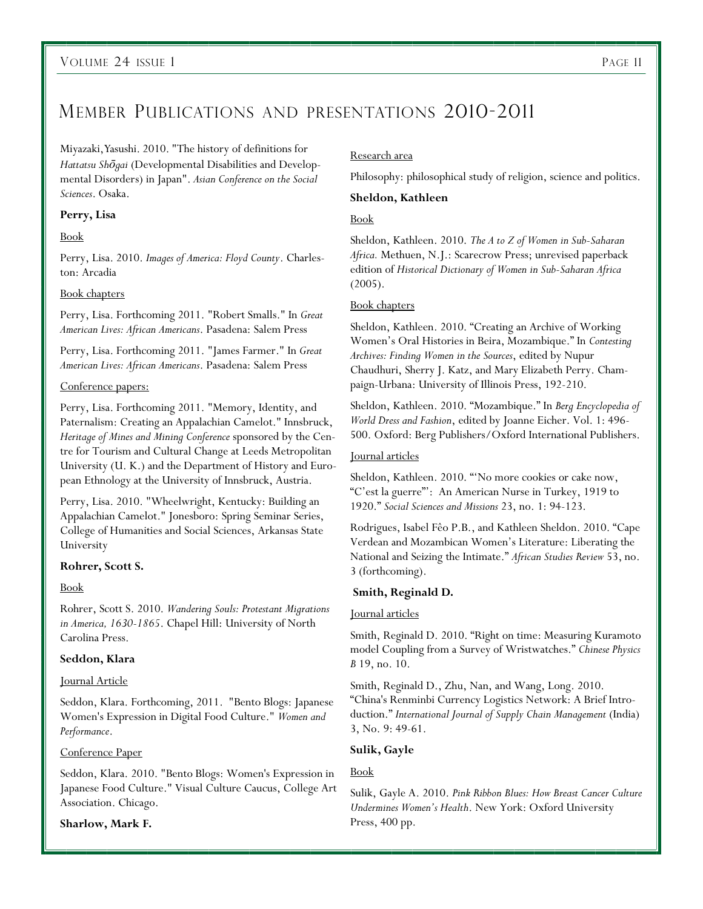### MEMBER PUBLICATIONS AND PRESENTATIONS 2010-2011

#### Miyazaki, Yasushi. 2010. "The history of definitions for

*Hattatsu Shōgai* (Developmental Disabilities and Developmental Disorders) in Japan". *Asian Conference on the Social Sciences*. Osaka.

#### **Perry, Lisa**

#### Book

Perry, Lisa. 2010. *Images of America: Floyd County*. Charleston: Arcadia

#### Book chapters

Perry, Lisa. Forthcoming 2011. "Robert Smalls." In *Great American Lives: African Americans*. Pasadena: Salem Press

Perry, Lisa. Forthcoming 2011. "James Farmer." In *Great American Lives: African Americans*. Pasadena: Salem Press

#### Conference papers:

Perry, Lisa. Forthcoming 2011. "Memory, Identity, and Paternalism: Creating an Appalachian Camelot." Innsbruck, *Heritage of Mines and Mining Conference* sponsored by the Centre for Tourism and Cultural Change at Leeds Metropolitan University (U. K.) and the Department of History and European Ethnology at the University of Innsbruck, Austria.

Perry, Lisa. 2010. "Wheelwright, Kentucky: Building an Appalachian Camelot." Jonesboro: Spring Seminar Series, College of Humanities and Social Sciences, Arkansas State University

#### **Rohrer, Scott S.**

#### Book

Rohrer, Scott S. 2010. *Wandering Souls: Protestant Migrations in America, 1630-1865*. Chapel Hill: University of North Carolina Press.

#### **Seddon, Klara**

#### **Journal Article**

Seddon, Klara. Forthcoming, 2011. "Bento Blogs: Japanese Women's Expression in Digital Food Culture." *Women and Performance*.

#### Conference Paper

Seddon, Klara. 2010. "Bento Blogs: Women's Expression in Japanese Food Culture." Visual Culture Caucus, College Art Association. Chicago.

#### **Sharlow, Mark F.**

#### Research area

Philosophy: philosophical study of religion, science and politics.

#### **Sheldon, Kathleen**

#### Book

Sheldon, Kathleen. 2010. *The A to Z of Women in Sub-Saharan Africa.* Methuen, N.J.: Scarecrow Press; unrevised paperback edition of *Historical Dictionary of Women in Sub-Saharan Africa*  (2005).

#### Book chapters

Sheldon, Kathleen. 2010. "Creating an Archive of Working Women's Oral Histories in Beira, Mozambique." In *Contesting Archives: Finding Women in the Sources*, edited by Nupur Chaudhuri, Sherry J. Katz, and Mary Elizabeth Perry. Champaign-Urbana: University of Illinois Press, 192-210.

Sheldon, Kathleen. 2010. "Mozambique." In *Berg Encyclopedia of World Dress and Fashion*, edited by Joanne Eicher. Vol. 1: 496- 500. Oxford: Berg Publishers/Oxford International Publishers.

#### Journal articles

Sheldon, Kathleen. 2010. "'No more cookies or cake now, ―C'est la guerre‖': An American Nurse in Turkey, 1919 to 1920.‖ *Social Sciences and Missions* 23, no. 1: 94-123.

Rodrigues, Isabel Fêo P.B., and Kathleen Sheldon. 2010. "Cape Verdean and Mozambican Women's Literature: Liberating the National and Seizing the Intimate.‖ *African Studies Review* 53, no. 3 (forthcoming).

#### **Smith, Reginald D.**

#### Journal articles

Smith, Reginald D. 2010. "Right on time: Measuring Kuramoto model Coupling from a Survey of Wristwatches.‖ *Chinese Physics B* 19, no. 10.

Smith, Reginald D., Zhu, Nan, and Wang, Long. 2010. ―China's Renminbi Currency Logistics Network: A Brief Introduction.‖ *International Journal of Supply Chain Management* (India) 3, No. 9: 49-61.

#### **Sulik, Gayle**

#### Book

Sulik, Gayle A. 2010. *Pink Ribbon Blues: How Breast Cancer Culture Undermines Women's Health*. New York: Oxford University Press, 400 pp.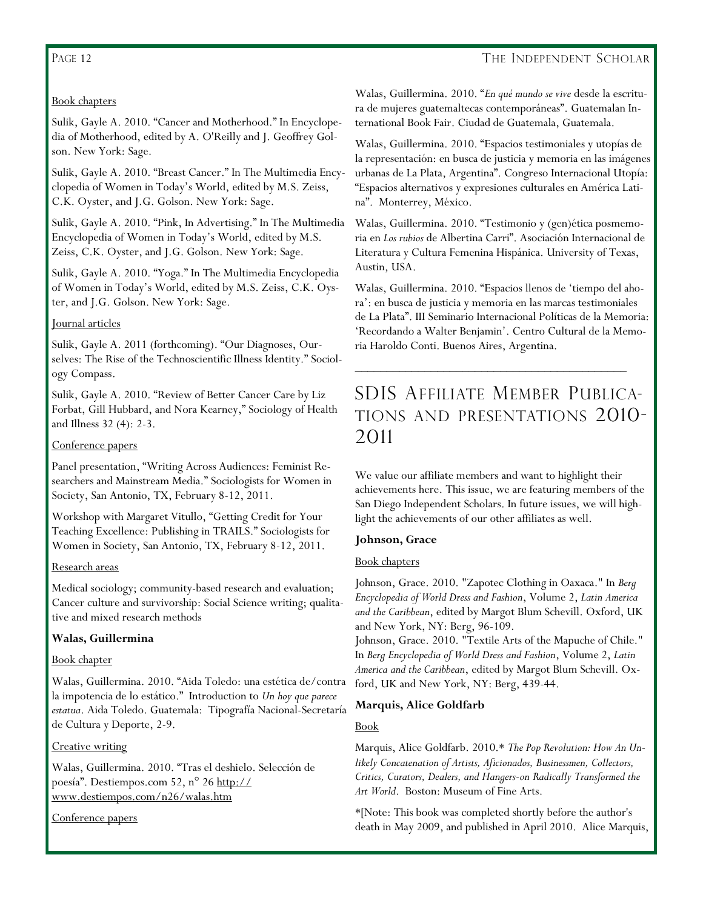#### PAGE 12

#### THE INDEPENDENT SCHOLAR

#### Book chapters

Sulik, Gayle A. 2010. "Cancer and Motherhood." In Encyclopedia of Motherhood, edited by A. O'Reilly and J. Geoffrey Golson. New York: Sage.

Sulik, Gayle A. 2010. "Breast Cancer." In The Multimedia Encyclopedia of Women in Today's World, edited by M.S. Zeiss, C.K. Oyster, and J.G. Golson. New York: Sage.

Sulik, Gayle A. 2010. "Pink, In Advertising." In The Multimedia Encyclopedia of Women in Today's World, edited by M.S. Zeiss, C.K. Oyster, and J.G. Golson. New York: Sage.

Sulik, Gayle A. 2010. "Yoga." In The Multimedia Encyclopedia of Women in Today's World, edited by M.S. Zeiss, C.K. Oyster, and J.G. Golson. New York: Sage.

#### Journal articles

Sulik, Gayle A. 2011 (forthcoming). "Our Diagnoses, Ourselves: The Rise of the Technoscientific Illness Identity." Sociology Compass.

Sulik, Gayle A. 2010. "Review of Better Cancer Care by Liz Forbat, Gill Hubbard, and Nora Kearney," Sociology of Health and Illness 32 (4): 2-3.

#### Conference papers

Panel presentation, "Writing Across Audiences: Feminist Researchers and Mainstream Media." Sociologists for Women in Society, San Antonio, TX, February 8-12, 2011.

Workshop with Margaret Vitullo, "Getting Credit for Your Teaching Excellence: Publishing in TRAILS." Sociologists for Women in Society, San Antonio, TX, February 8-12, 2011.

#### Research areas

Medical sociology; community-based research and evaluation; Cancer culture and survivorship: Social Science writing; qualitative and mixed research methods

#### **Walas, Guillermina**

#### Book chapter

Walas, Guillermina. 2010. "Aida Toledo: una estética de/contra la impotencia de lo estático." Introduction to *Un hoy que parece estatua*. Aida Toledo. Guatemala: Tipografía Nacional-Secretaría de Cultura y Deporte, 2-9.

#### Creative writing

Walas, Guillermina. 2010. "Tras el deshielo. Selección de poesía". Destiempos.com 52, n° 26 [http://](http://www.destiempos.com/n26/walas.htm) [www.destiempos.com/n26/walas.htm](http://www.destiempos.com/n26/walas.htm)

Conference papers

Walas, Guillermina. 2010. "En qué mundo se vive desde la escritura de mujeres guatemaltecas contemporáneas". Guatemalan International Book Fair. Ciudad de Guatemala, Guatemala.

Walas, Guillermina. 2010. "Espacios testimoniales y utopías de la representación: en busca de justicia y memoria en las imágenes urbanas de La Plata, Argentina". Congreso Internacional Utopía: ―Espacios alternativos y expresiones culturales en América Latina". Monterrey, México.

Walas, Guillermina. 2010. "Testimonio y (gen)ética posmemoria en *Los rubios* de Albertina Carri". Asociación Internacional de Literatura y Cultura Femenina Hispánica. University of Texas, Austin, USA.

Walas, Guillermina. 2010. "Espacios llenos de 'tiempo del ahora': en busca de justicia y memoria en las marcas testimoniales de La Plata". III Seminario Internacional Políticas de la Memoria: ‗Recordando a Walter Benjamin'. Centro Cultural de la Memoria Haroldo Conti. Buenos Aires, Argentina.

### SDIS AFFILIATE MEMBER PUBLICA-TIONS AND PRESENTATIONS 2010- 2011

\_\_\_\_\_\_\_\_\_\_\_\_\_\_\_\_\_\_\_\_\_\_\_\_\_\_\_\_\_\_\_\_\_\_\_\_\_\_\_\_\_\_\_

We value our affiliate members and want to highlight their achievements here. This issue, we are featuring members of the San Diego Independent Scholars. In future issues, we will highlight the achievements of our other affiliates as well.

#### **Johnson, Grace**

#### Book chapters

Johnson, Grace. 2010. "Zapotec Clothing in Oaxaca." In *Berg Encyclopedia of World Dress and Fashion*, Volume 2, *Latin America and the Caribbean*, edited by Margot Blum Schevill. Oxford, UK and New York, NY: Berg, 96-109.

Johnson, Grace. 2010. "Textile Arts of the Mapuche of Chile." In *Berg Encyclopedia of World Dress and Fashion*, Volume 2, *Latin America and the Caribbean*, edited by Margot Blum Schevill. Oxford, UK and New York, NY: Berg, 439-44.

#### **Marquis, Alice Goldfarb**

#### Book

Marquis, Alice Goldfarb. 2010.\* *The Pop Revolution: How An Unlikely Concatenation of Artists, Aficionados, Businessmen, Collectors, Critics, Curators, Dealers, and Hangers-on Radically Transformed the Art World*. Boston: Museum of Fine Arts.

\*[Note: This book was completed shortly before the author's death in May 2009, and published in April 2010. Alice Marquis,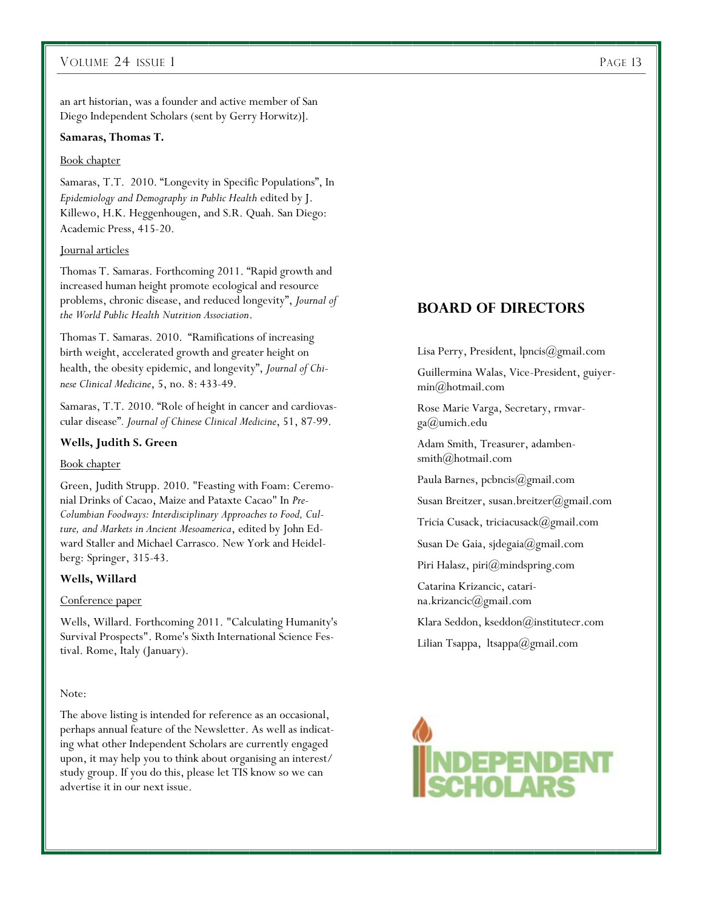#### VOLUME 24 ISSUE 1 PAGE 13

an art historian, was a founder and active member of San Diego Independent Scholars (sent by Gerry Horwitz)].

#### **Samaras, Thomas T.**

#### Book chapter

Samaras, T.T. 2010. "Longevity in Specific Populations", In *Epidemiology and Demography in Public Health* edited by J. Killewo, H.K. Heggenhougen, and S.R. Quah. San Diego: Academic Press, 415-20.

#### Journal articles

Thomas T. Samaras. Forthcoming 2011. "Rapid growth and increased human height promote ecological and resource problems, chronic disease, and reduced longevity", *Journal of the World Public Health Nutrition Association*.

Thomas T. Samaras. 2010. "Ramifications of increasing birth weight, accelerated growth and greater height on health, the obesity epidemic, and longevity", *Journal of Chinese Clinical Medicine*, 5, no. 8: 433-49.

Samaras, T.T. 2010. "Role of height in cancer and cardiovascular disease‖*. Journal of Chinese Clinical Medicine*, 51, 87-99.

#### **Wells, Judith S. Green**

#### Book chapter

Green, Judith Strupp. 2010. "Feasting with Foam: Ceremonial Drinks of Cacao, Maize and Pataxte Cacao" In *Pre-Columbian Foodways: Interdisciplinary Approaches to Food, Culture, and Markets in Ancient Mesoamerica*, edited by John Edward Staller and Michael Carrasco. New York and Heidelberg: Springer, 315-43.

#### **Wells, Willard**

#### Conference paper

Wells, Willard. Forthcoming 2011. "Calculating Humanity's Survival Prospects". Rome's Sixth International Science Festival. Rome, Italy (January).

#### Note:

The above listing is intended for reference as an occasional, perhaps annual feature of the Newsletter. As well as indicating what other Independent Scholars are currently engaged upon, it may help you to think about organising an interest/ study group. If you do this, please let TIS know so we can advertise it in our next issue.

#### **Board of Directors**

Lisa Perry, President, lpncis@gmail.com

Guillermina Walas, Vice-President, guiyermin@hotmail.com

Rose Marie Varga, Secretary, rmvarga@umich.edu

Adam Smith, Treasurer, adambensmith@hotmail.com

Paula Barnes, pcbncis@gmail.com

Susan Breitzer, susan.breitzer@gmail.com

Tricia Cusack, triciacusack@gmail.com

Susan De Gaia, sjdegaia@gmail.com

Piri Halasz, piri@mindspring.com

Catarina Krizancic, catarina.krizancic@gmail.com

Klara Seddon, kseddon@institutecr.com

Lilian Tsappa, ltsappa@gmail.com